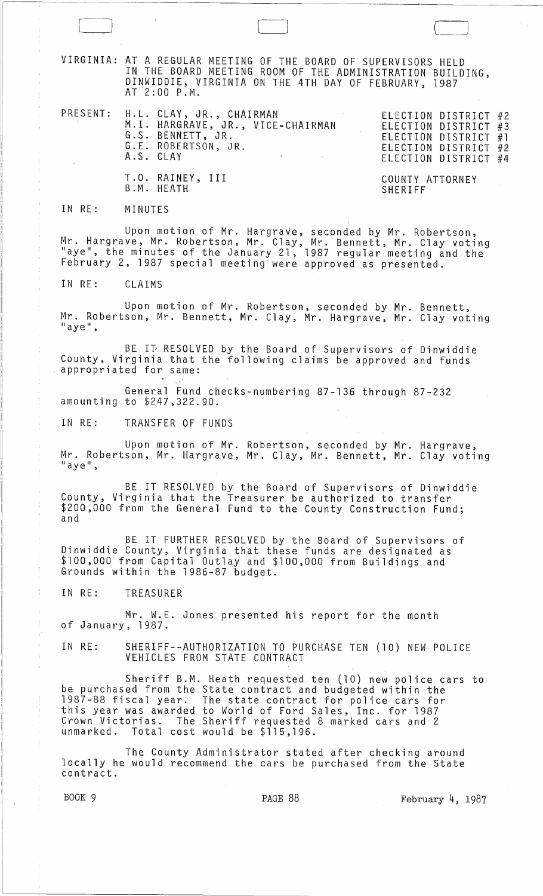VIRGINIA: AT A REGULAR MEETING OF THE BOARD OF SUPERVISORS HELD IN THE BOARD MEETING ROOM OF THE ADMINISTRATION BUILDING, DINWIDDIE, VIRGINIA ON THE 4TH DAY OF FEBRUARY, 1987 AT 2:00 P.M.

|  | PRESENT: H.L. CLAY, JR., CHAIRMAN<br>M.I. HARGRAVE, JR., VICE-CHAIRMAN<br>G.S. BENNETT, JR.<br>G.E. ROBERTSON, JR.<br>A.S. CLAY<br>the contract of the second contract of the contract of |                            | ELECTION DISTRICT #2<br>ELECTION DISTRICT #3<br>ELECTION DISTRICT #1<br>ELECTION DISTRICT #2<br>ELECTION DISTRICT #4 |  |
|--|-------------------------------------------------------------------------------------------------------------------------------------------------------------------------------------------|----------------------------|----------------------------------------------------------------------------------------------------------------------|--|
|  | T.O. RAINEY, III<br>B.M. HEATH                                                                                                                                                            | COUNTY ATTORNEY<br>SHERIFF |                                                                                                                      |  |

## IN RE: MINUTES

Upon motion of Mr. HargraVe, seconded by Mr. Robertson, Mr. Hargrave, Mr. Robertson, Mr. Clay, Mr. Bennett, Mr. Clay voting "aye", the minutes of the January 21, 1987 regular meeting and the February 2, 1987 special meeting were approved as presented.

IN RE: CLAIMS

Upon motion of Mr. Robertson, seconded by Mr. Bennett, Mr. Robertson, Mr. Bennett, Mr. Clay, Mr. Hargrave, Mr. Clay voting<br>"aye",

BE IT RESOLVED by the Board of Supervisors of Dinwiddie County, Virginia that the following claims be approved and funds appropriated for same:

General Fund checks-numbering 87-136 through 87-232 amounting to \$247,322.90.

IN RE: TRANSFER OF FUNDS

Upon motion of Mr. Robertson, seconded by Mr. Hargrave, Mr. Robertson, Mr. Hargrave, Mr. Clay, Mr. Bennett, Mr. Clay voting<br>"aye",

BE IT RESOLVED by the Board of Supervisors of Dinwiddie County, Virginia that the Treasurer be authorized to transfer \$200,000 from the General Fund to the County Construction Fund; and

BE IT FURTHER RESOLVED by the Board of Supervisors of Dinwiddie County, Virginia that these funds are designated as \$100,000 from Capital Outlay and \$100,000 from Buildings and Grounds within the 1986-87 budget.

IN RE: TREASURER

Mr. W.E. Jones presented his report for the month of January, 1987.

IN RE: SHERIFF--AUTHORIZATION TO PURCHASE TEN (10) NEW POLICE VEHICLES FROM STATE CONTRACT

Sheriff B:M. Heath requested ten (10) new police cars to be purchased from the State contract and budgeted within the 1987-88 fiscal year. The state contract for police cars for this year was awarded to World of Ford Sales, Inc. for 1987 Crown Victorias. The Sheriff requested 8 marked cars and 2 unmarked. Total cost would be \$115,196.

The County Administrator stated after checking around locally he would recommend the cars be purchased from the State contract.

 $\frac{1}{2}$ 

Ť

 $\frac{1}{3}$ 

BOOK 9 **PAGE 88** February 4, 1987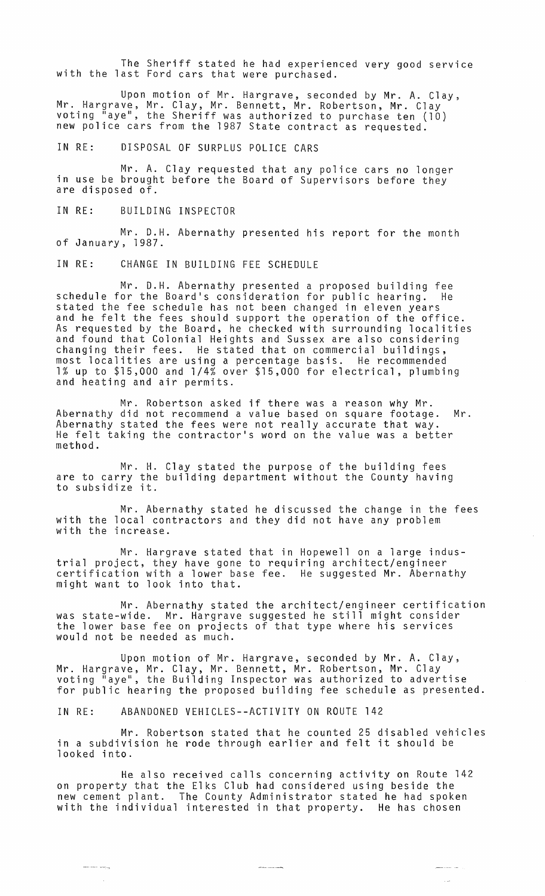The Sheriff stated he had experienced very good service with the last Ford cars that were purchased.

Upon motion of Mr. Hargrave, seconded by Mr. A. Clay, Mr. Hargrave, Mr. Clay, Mr. Bennett, Mr. Robertson, Mr. Clay voting "aye", the Sheriff was authorized to purchase ten (10) new police cars from the 1987 State contract as requested.

IN RE: DISPOSAL OF SURPLUS POLICE CARS

Mr. A. Clay requested that any police cars no longer in use be brought before the Board of Supervisors before they are disposed of.

IN RE: BUILDING INSPECTOR

Mr. D.H. Abernathy presented his report for the month of January, 1987.

IN RE: CHANGE IN BUILDING FEE SCHEDULE

Mr. D.H. Abernathy presented a proposed building fee schedule for the Board's consideration for public hearing. He stated the fee schedule has not been changed in eleven years and he felt the fees should support the operation of the office. As requested by the Board, he checked with surrounding localities and found that Colonial Heights and Sussex are also considering changing their fees. He stated that on commercial buildings, most localities are using a percentage basis. He recommended 1% up to \$15,000 and 1/4% over \$15,000 for electrical, plumbing and heating and air permits.

Mr. Robertson asked if there was a reason why Mr. Abernathy did not recommend a value based on square footage. Mr. Abernathy stated the fees were not really accurate that way. He felt taking the contractor's word on the value was a better method.

Mr. H. Clay stated the purpose of the building fees are to carry the building department without the County having are to carry the<br>to subsidize it.

Mr. Abernathy stated he discussed the change in the fees with the local contractors and they did not have any problem with the increase.

Mr. Hargrave stated that in Hopewell on a large industrial project, they have gone to requiring architect/engineer certification with a lower base fee. He suggested Mr. Abernathy might want to look into that.

Mr. Abernathy stated the architect/engineer certification was state-wide. Mr. Hargrave suggested he still might consider the lower base fee on projects of that type where his services would not be needed as much.

Upon motion of Mr. Hargrave, seconded by Mr. A. Clay, Mr. Hargrave, Mr. Clay, Mr. Bennett, Mr. Robertson, Mr. Clay voting lIaye", the Building Inspector was authorized to advertise for public hearing the proposed building fee schedule as presented.

IN RE: ABANDONED VEHICLES--ACTIVITY ON ROUTE 142

 $\frac{1}{2} \left( \frac{1}{2} \right)^2 + \frac{1}{2} \left( \frac{1}{2} \right)^2 + \frac{1}{2} \left( \frac{1}{2} \right)^2 + \frac{1}{2} \left( \frac{1}{2} \right)^2 + \frac{1}{2} \left( \frac{1}{2} \right)^2 + \frac{1}{2} \left( \frac{1}{2} \right)^2 + \frac{1}{2} \left( \frac{1}{2} \right)^2 + \frac{1}{2} \left( \frac{1}{2} \right)^2 + \frac{1}{2} \left( \frac{1}{2} \right)^2 + \frac{1}{2} \left( \frac{1}{2} \right)^2 +$ 

Mr. Robertson stated that he counted 25 disabled vehicles in a subdivision he rode through earlier and felt it should be looked into.

He also received calls concerning activity on Route 142 on property that the Elks Club had considered using beside the new cement plant. The County Administrator stated he had spoken with the individual interested in that property. He has chosen

 $\label{eq:1} \begin{split} \mathcal{L}_{\text{max}}(\mathcal{L}_{\text{max}},\mathcal{L}_{\text{max}}) = \mathcal{L}_{\text{max}}(\mathcal{L}_{\text{max}}), \end{split}$ 

المستشكر  $\bar{\beta}$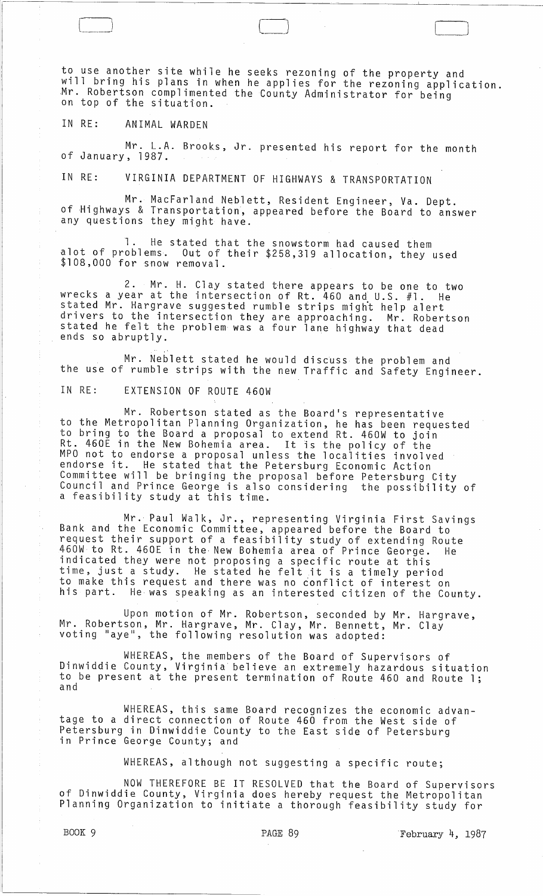to use another site while he seeks rezoning of the property and will bring his plans in when he applies for the rezoning application. Mr. Robertson complimented the County Administrator for being on top of the situation.

IN RE: ANIMAL WARDEN

 $\Box$ 

Mr. L.A. Brooks, Jr. presented his report for the month of January, 1987.

IN RE: VIRGINIA DEPARTMENT OF HIGHWAYS & TRANSPORTATION

Mr. MacFarland Neblett, Resident Engineer, Va. Dept. of Highways & Transportation, appeared before the Board to answer any questions they might have.

1. He stated that the snowstorm had caused them alot of problems. Out of their \$258,319 allocation, they used \$108,000 for snow removal.

2. Mr. H. Clay stated there appears to be one to two wrecks a year at the intersection of Rt. 460 and U.S. #1. He stated Mr. Hargrave suggested rumble strips might help alert drivers to the intersection they are approaching. Mr. Robertson stated he felt the problem was a four lane highway that dead ends so abruptly,

Mr. Neblett stated he would discuss the problem and the use of rumble strips with the new Traffic and Safety Engineer.

IN RE: EXTENSION OF ROUTE 460W

Mr. Robertson stated as the Board's representative to the Metropolitan Planning Organization, he has been requested to bring to the Board a proposal to extend Rt. 460W to join Rt. 460E in the New Bohemia area. It is the policy of the MPO not to endorse a proposal unless the localities involved endorse it. He stated that the Petersburg Economic Action Committee will be bringing the proposal before Petersburg City Council and Prince George is also considering the possibility of a feasibility study at this time.

Mr. Paul Walk, Jr., representing Virginia First Savings Bank and the Economic Committee, appeared before the Board to request their support of a feasibility study of extending Route 460W to Rt. 460E in the, New Bohemia area of Prince George. He indicated they were not proposing a specific route at this time, just a study. He stated he felt it is a timely period to make this request and there was no conflict of interest on his part. He was speaking as an interested citizen of the County.

Upon motion of Mr. Robertson, seconded by Mr. Hargrave, Mr. Robertson, Mr. Hargrave, Mr. Clay, Mr. Bennett, Mr. Clay voting "aye", the following resolution was adopted:

WHEREAS, the members of the Board of Supervisors of Dinwiddie County, Virginia believe an extremely hazardous situation to be present at the present termination of Route 460 and Route 1;<br>and

WHEREAS, this same Board recognizes the economic advantage to a direct connection of Route 460 from the West side of Petersburg in Dinwiddie County to the East side of Petersburg in Prince George County; and

WHEREAS, although not suggesting a specific route;

NOW THEREFORE BE IT RESOLVED that the Board of Supervisors of Dinwiddie County, Virginia does hereby request the Metropolitan Planning Organization to initiate a thorough feasibility study for

۰,

Ā,

BOOK 9 **PAGE 89 February** 4, 1987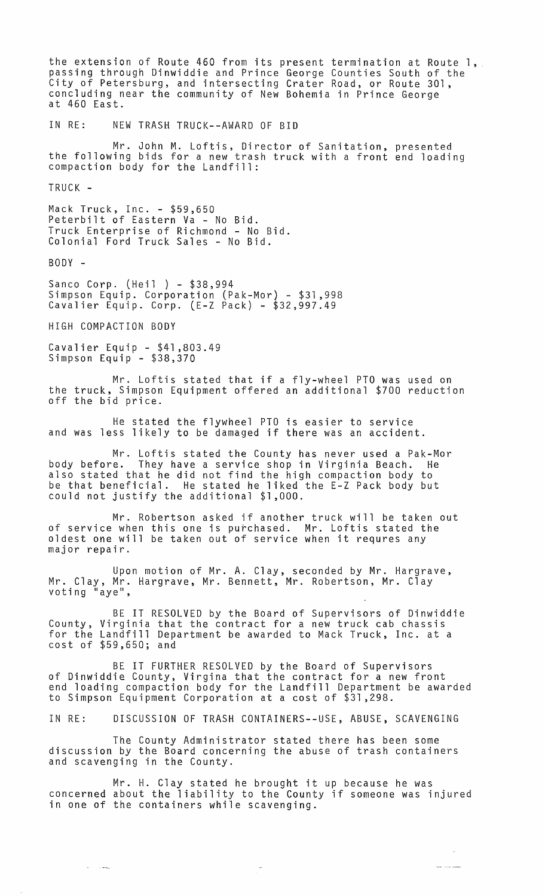the extension of Route 460 from its present termination at Route 1, passing through Dinwiddie and Prince George Counties South of the City of Petersburg, and intersecting Crater Road, or Route 301, concluding near the community of New Bohemia in Prince George at 460 East. IN RE: NEW TRASH TRUCK--AWARD OF BID Mr. John M. Loftis, Director of Sanitation, presented<br>the following bids for a new trash truck with a front end loading compaction body for the Landfill: TRUCK - Mack Truck, Inc. - \$59,650 Peterbilt of Eastern Va - No Bid. Truck Enterprise of Richmond - No Bid. Colonial Ford Truck Sales - No Bid. BODY - Sanco Corp. (Heil ) - \$38,994 Simpson Equip. Corporation (Pak-Mor) - \$31,998 Cavalier Equip. Corp. (E-Z Pack) - \$32,997.49 HIGH COMPACTION BODY Cavalier Equip - \$41,803.49 Simpson Equip - \$38,370 Mr. Loftis stated that if a fly-wheel PTO was used on the truck, Simpson Equipment offered an additional \$700 reduction off the bid price. He stated the flywheel PTO is easier to service and was less likely to be damaged if there was an accident. Mr. Loftis stated the County has never used a Pak-Mor body before. They have a service shop in Virginia Beach. He also stated that he did not find the high compaction body to be that beneficial. He stated he liked the E-Z Pack body but could not justify the additional \$1,000. Mr. Robertson asked if another truck will be taken out of service when this one is purchased. Mr. Loftis stated the oldest one will be taken out of service when it requres any major repair. Upon motion of Mr. A. Clay, seconded by Mr. Hargrave, Mr. Clay, Mr. Hargrave, Mr. Bennett, Mr. Robertson, Mr. Cl̃ay<br>voting "aye", BE IT RESOLVED by the Board of Supervisors of Dinwiddie County, Virginia that the contract for a new truck cab chassis for the Landfill Department be awarded to Mack Truck, Inc. at a cost of \$59,650; and BE IT FURTHER RESOLVED by the Board of Supervisors of Dinwiddie County, Virgina that the contract for a new front end loading compaction body for the Landfill Department be awarded to Simpson Equipment Corporation at a cost of \$31,298. IN RE: DISCUSSION OF TRASH CONTAINERS--USE, ABUSE, SCAVENGING The County Administrator stated there has been some discussion by the Board concerning the abuse of trash containers and scavenging in the County. Mr. H. Clay stated he brought it up because he was

concerned about the liability to the County if someone was injured in one of the containers while scavenging.

 $\sim$ 

 $\omega_{\rm{max}}$  , and  $\omega_{\rm{max}}$ 

يتعددنك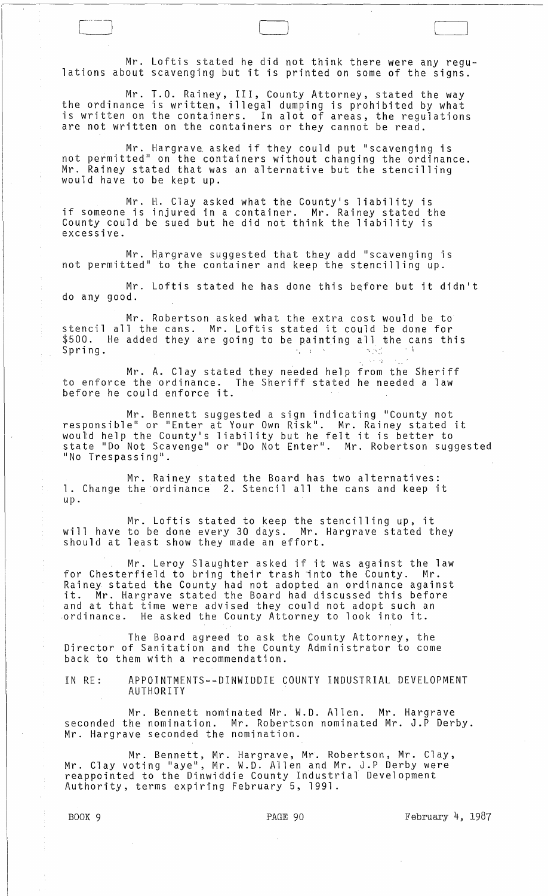Mr. Loftis stated he did not think there were any regulations about scavenging but it is printed on some of the signs.

LJ

Mr. T.O. Rainey, III, County Attorney, stated the way the ordinance is written, illegal dumping is prohibited by what is written on the containers. In alot of areas, the regulations are not written on the containers or they cannot be read.

Mr. Hargrave asked if they could put "scavenging is not permitted" on the containers without changing the ordinance. Mr. Rainey stated that was an alternative but the stencilling would have to be kept up.

Mr. H. Clay asked what the County's liability is if someone is injured in a container. Mr. Rainey stated the County could be sued but he did not think the liability is excessive.

Mr. Hargrave suggested that they add "scavenging is not permitted" to the container and keep the stencilling up.

Mr. Loftis stated he has done this before but it didn't do any good.

Mr. Robertson asked what the extra cost would be to stencil all the cans. Mr. Loftis stated it could be done for \$500. He added they are going to be painting all the cans this Spring.  $\frac{1}{2}$  and  $\frac{1}{2}$  and  $\frac{1}{2}$  and  $\frac{1}{2}$  and  $\frac{1}{2}$  and  $\frac{1}{2}$  and  $\frac{1}{2}$  and  $\frac{1}{2}$ 

Mr. A. Clay stated they needed help from the Sheriff to enforce the ordinance. The Sheriff stated he needed a law before he could enforce it.

Mr. Bennett suggested a sign indicating "County not responsible" or "Enter at Your Own Risk". Mr. Rainey stated it would help the County's liability but he felt it is better to state "Do Not Scavenge" or "Do Not Enter". Mr. Robertson suggested "No Trespassing".

Mr. Rainey stated the Board has two alternatives: **1. Change the ordinance 2. Stencil all the cans and keep it** up.

Mr. Loftis stated to keep the stencilling up, it will have to be done every 30 days. Mr. Hargrave stated they should at least show they made an effort.

Mr. Leroy Slaughter asked if it was against the law for Chesterfield to bring their trash into the County. Mr. Rainey stated the County had not adopted an ordinance against it. Mr. Hargrave stated the Board had discussed this before and at that time were advised they could not adopt such an<br>ordinance. He asked the County Attorney to look into it. He asked the County Attorney to look into it.

The Board agreed to ask the County Attorney, the Director of Sanitation and the County Administrator to come back to them with a recommendation.

IN RE: APPOINTMENTS--DINWIDDIE COUNTY INDUSTRIAL DEVELOPMENT AUTHORITY

Mr. Bennett nominated Mr. W.D. Allen. Mr. Hargrave seconded the nomination. Mr. Robertson nominated Mr. J.P Derby. Mr. Hargrave seconded the nomination.

Mr. Bennett, Mr. Hargrave, Mr. Robertson, Mr. Clay, Mr. Clay voting "aye", Mr. W.D. Allen and Mr. J.P Derby were reappointed to the Dinwiddie County Industrial Development Authority, terms expiring February 5, 1991.

BOOK 9 **PAGE 90 PAGE 90 February 4, 1987**